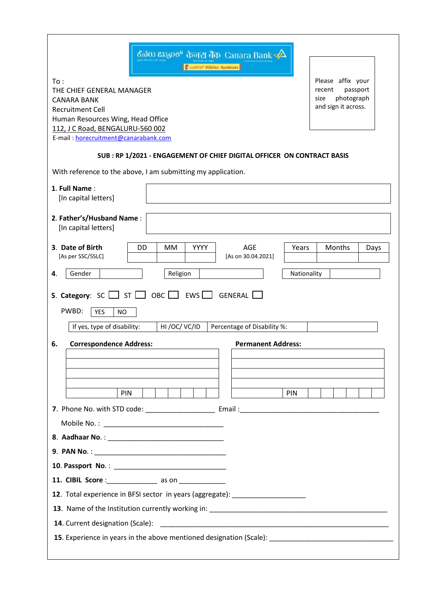| ಕೆನರು ಬ್ಯಾಂಕ್ केनरा बैंक  Canara Bank $\triangleleft$<br><b>Castro Tifishe Syndicate</b>                                                                                                           |                                                                                      |
|----------------------------------------------------------------------------------------------------------------------------------------------------------------------------------------------------|--------------------------------------------------------------------------------------|
| To:<br>THE CHIEF GENERAL MANAGER<br><b>CANARA BANK</b><br><b>Recruitment Cell</b><br>Human Resources Wing, Head Office<br>112, J C Road, BENGALURU-560 002<br>E-mail: horecruitment@canarabank.com | Please affix your<br>passport<br>recent<br>photograph<br>size<br>and sign it across. |
| SUB: RP 1/2021 - ENGAGEMENT OF CHIEF DIGITAL OFFICER ON CONTRACT BASIS                                                                                                                             |                                                                                      |
| With reference to the above, I am submitting my application.                                                                                                                                       |                                                                                      |
| 1. Full Name:<br>[In capital letters]                                                                                                                                                              |                                                                                      |
| 2. Father's/Husband Name:<br>[In capital letters]                                                                                                                                                  |                                                                                      |
| YYYY<br><b>AGE</b><br>3. Date of Birth<br>DD<br><b>MM</b><br>Years<br>[As per SSC/SSLC]<br>[As on 30.04.2021]                                                                                      | Months<br>Days                                                                       |
| Gender<br>4.<br>Religion                                                                                                                                                                           | Nationality                                                                          |
| <b>5. Category:</b> SC $\Box$ ST $\Box$ OBC $\Box$<br>EWS $\Box$<br>GENERAL<br>PWBD:<br><b>YES</b><br><b>NO</b><br>If yes, type of disability:<br>HI/OC/VC/ID<br>Percentage of Disability %:       |                                                                                      |
| 6.<br><b>Correspondence Address:</b><br><b>Permanent Address:</b>                                                                                                                                  |                                                                                      |
|                                                                                                                                                                                                    |                                                                                      |
|                                                                                                                                                                                                    |                                                                                      |
| PIN<br>PIN                                                                                                                                                                                         |                                                                                      |
|                                                                                                                                                                                                    |                                                                                      |
|                                                                                                                                                                                                    |                                                                                      |
|                                                                                                                                                                                                    |                                                                                      |
|                                                                                                                                                                                                    |                                                                                      |
| 11. CIBIL Score :_________________ as on ______________                                                                                                                                            |                                                                                      |
| 12. Total experience in BFSI sector in years (aggregate): ______________________                                                                                                                   |                                                                                      |
|                                                                                                                                                                                                    |                                                                                      |
| 14. Current designation (Scale):                                                                                                                                                                   |                                                                                      |
| <b>15</b> . Experience in years in the above mentioned designation (Scale):                                                                                                                        |                                                                                      |
|                                                                                                                                                                                                    |                                                                                      |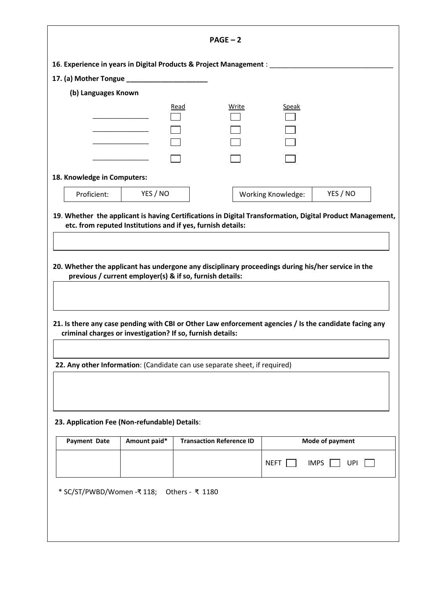|                                                                                                    |              | $PAGE - 2$                                                                                                                                                                                                                                                                                                     |                           |                           |  |
|----------------------------------------------------------------------------------------------------|--------------|----------------------------------------------------------------------------------------------------------------------------------------------------------------------------------------------------------------------------------------------------------------------------------------------------------------|---------------------------|---------------------------|--|
|                                                                                                    |              | 16. Experience in years in Digital Products & Project Management : ________                                                                                                                                                                                                                                    |                           |                           |  |
|                                                                                                    |              |                                                                                                                                                                                                                                                                                                                |                           |                           |  |
| (b) Languages Known                                                                                |              |                                                                                                                                                                                                                                                                                                                |                           |                           |  |
|                                                                                                    |              | Read<br>Write                                                                                                                                                                                                                                                                                                  | <b>Speak</b>              |                           |  |
|                                                                                                    |              |                                                                                                                                                                                                                                                                                                                |                           |                           |  |
|                                                                                                    |              |                                                                                                                                                                                                                                                                                                                |                           |                           |  |
| 18. Knowledge in Computers:                                                                        |              |                                                                                                                                                                                                                                                                                                                |                           |                           |  |
| Proficient:                                                                                        | YES / NO     |                                                                                                                                                                                                                                                                                                                | <b>Working Knowledge:</b> | YES / NO                  |  |
| 20. Whether the applicant has undergone any disciplinary proceedings during his/her service in the |              |                                                                                                                                                                                                                                                                                                                |                           |                           |  |
|                                                                                                    |              | previous / current employer(s) & if so, furnish details:<br>21. Is there any case pending with CBI or Other Law enforcement agencies / Is the candidate facing any<br>criminal charges or investigation? If so, furnish details:<br>22. Any other Information: (Candidate can use separate sheet, if required) |                           |                           |  |
|                                                                                                    |              |                                                                                                                                                                                                                                                                                                                |                           |                           |  |
| <b>Payment Date</b>                                                                                | Amount paid* | <b>Transaction Reference ID</b>                                                                                                                                                                                                                                                                                |                           | Mode of payment           |  |
| 23. Application Fee (Non-refundable) Details:                                                      |              |                                                                                                                                                                                                                                                                                                                | <b>NEFT</b>               | <b>UPI</b><br><b>IMPS</b> |  |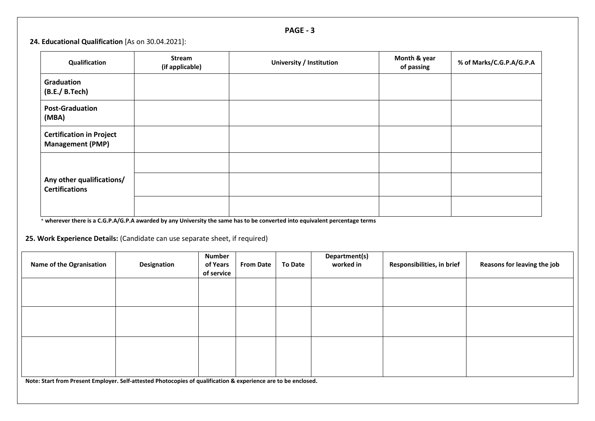| D<br><b>AG</b> |  |
|----------------|--|
|----------------|--|

## **24. Educational Qualification** [As on 30.04.2021]:

| Qualification                                              | <b>Stream</b><br>(if applicable) | University / Institution                                                                                                                                                                                                         | Month & year<br>of passing | % of Marks/C.G.P.A/G.P.A |
|------------------------------------------------------------|----------------------------------|----------------------------------------------------------------------------------------------------------------------------------------------------------------------------------------------------------------------------------|----------------------------|--------------------------|
| Graduation<br>(B.E./ B.Tech)                               |                                  |                                                                                                                                                                                                                                  |                            |                          |
| <b>Post-Graduation</b><br>(MBA)                            |                                  |                                                                                                                                                                                                                                  |                            |                          |
| <b>Certification in Project</b><br><b>Management (PMP)</b> |                                  |                                                                                                                                                                                                                                  |                            |                          |
| Any other qualifications/<br><b>Certifications</b>         |                                  | $\mathbf{r}$ and the contract of the contract of the contract of the contract of the contract of the contract of the contract of the contract of the contract of the contract of the contract of the contract of the contract of |                            |                          |

\* **wherever there is a C.G.P.A/G.P.A awarded by any University the same has to be converted into equivalent percentage terms**

**25. Work Experience Details:** (Candidate can use separate sheet, if required)

| <b>Name of the Ogranisation</b>                                                                                | Designation | <b>Number</b><br>of Years<br>of service | <b>From Date</b> | <b>To Date</b> | Department(s)<br>worked in | Responsibilities, in brief | Reasons for leaving the job |
|----------------------------------------------------------------------------------------------------------------|-------------|-----------------------------------------|------------------|----------------|----------------------------|----------------------------|-----------------------------|
|                                                                                                                |             |                                         |                  |                |                            |                            |                             |
|                                                                                                                |             |                                         |                  |                |                            |                            |                             |
|                                                                                                                |             |                                         |                  |                |                            |                            |                             |
| Note: Start from Present Employer. Self-attested Photocopies of qualification & experience are to be enclosed. |             |                                         |                  |                |                            |                            |                             |